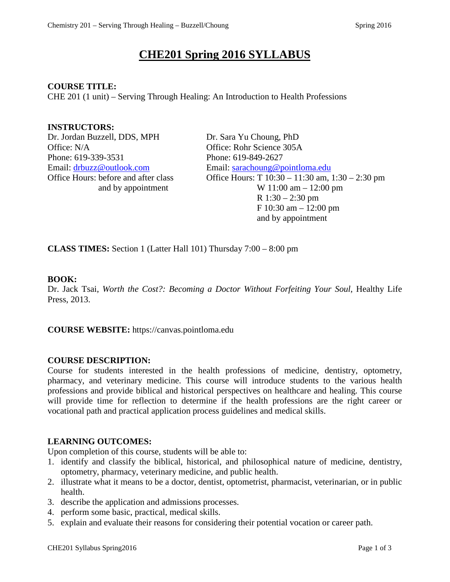# **CHE201 Spring 2016 SYLLABUS**

#### **COURSE TITLE:**

CHE 201 (1 unit) – Serving Through Healing: An Introduction to Health Professions

## **INSTRUCTORS:**

Dr. Jordan Buzzell, DDS, MPH Dr. Sara Yu Choung, PhD Office: N/A Office: Rohr Science 305A Phone: 619-339-3531 Phone: 619-849-2627

Email: [drbuzz@outlook.com](mailto:drbuzz@outlook.com) Email: [sarachoung@pointloma.edu](mailto:sarachoung@pointloma.edu) Office Hours: before and after class Office Hours: T 10:30 – 11:30 am, 1:30 – 2:30 pm and by appointment  $W 11:00 \text{ am} - 12:00 \text{ pm}$  R 1:30 – 2:30 pm F 10:30 am – 12:00 pm and by appointment

**CLASS TIMES:** Section 1 (Latter Hall 101) Thursday 7:00 – 8:00 pm

#### **BOOK:**

Dr. Jack Tsai, *Worth the Cost?: Becoming a Doctor Without Forfeiting Your Soul*, Healthy Life Press, 2013.

**COURSE WEBSITE:** https://canvas.pointloma.edu

#### **COURSE DESCRIPTION:**

Course for students interested in the health professions of medicine, dentistry, optometry, pharmacy, and veterinary medicine. This course will introduce students to the various health professions and provide biblical and historical perspectives on healthcare and healing. This course will provide time for reflection to determine if the health professions are the right career or vocational path and practical application process guidelines and medical skills.

# **LEARNING OUTCOMES:**

Upon completion of this course, students will be able to:

- 1. identify and classify the biblical, historical, and philosophical nature of medicine, dentistry, optometry, pharmacy, veterinary medicine, and public health.
- 2. illustrate what it means to be a doctor, dentist, optometrist, pharmacist, veterinarian, or in public health.
- 3. describe the application and admissions processes.
- 4. perform some basic, practical, medical skills.
- 5. explain and evaluate their reasons for considering their potential vocation or career path.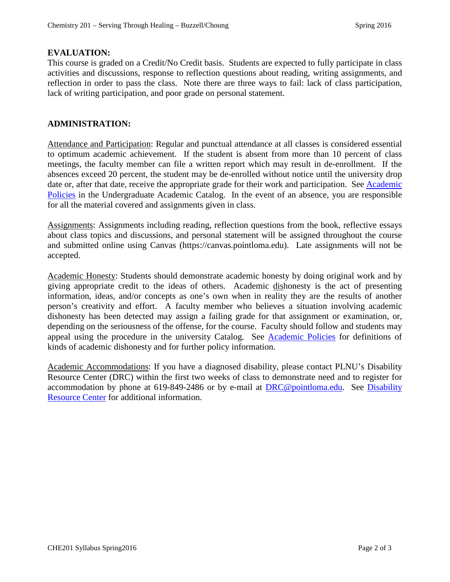### **EVALUATION:**

This course is graded on a Credit/No Credit basis. Students are expected to fully participate in class activities and discussions, response to reflection questions about reading, writing assignments, and reflection in order to pass the class. Note there are three ways to fail: lack of class participation, lack of writing participation, and poor grade on personal statement.

### **ADMINISTRATION:**

Attendance and Participation: Regular and punctual attendance at all classes is considered essential to optimum academic achievement. If the student is absent from more than 10 percent of class meetings, the faculty member can file a written report which may result in de-enrollment. If the absences exceed 20 percent, the student may be de-enrolled without notice until the university drop date or, after that date, receive the appropriate grade for their work and participation. See Academic [Policies](http://catalog.pointloma.edu/content.php?catoid=18&navoid=1278) in the Undergraduate Academic Catalog. In the event of an absence, you are responsible for all the material covered and assignments given in class.

Assignments: Assignments including reading, reflection questions from the book, reflective essays about class topics and discussions, and personal statement will be assigned throughout the course and submitted online using Canvas (https://canvas.pointloma.edu). Late assignments will not be accepted.

Academic Honesty: Students should demonstrate academic honesty by doing original work and by giving appropriate credit to the ideas of others. Academic dishonesty is the act of presenting information, ideas, and/or concepts as one's own when in reality they are the results of another person's creativity and effort. A faculty member who believes a situation involving academic dishonesty has been detected may assign a failing grade for that assignment or examination, or, depending on the seriousness of the offense, for the course. Faculty should follow and students may appeal using the procedure in the university Catalog. See [Academic Policies](http://catalog.pointloma.edu/content.php?catoid=18&navoid=1278) for definitions of kinds of academic dishonesty and for further policy information.

Academic Accommodations: If you have a diagnosed disability, please contact PLNU's Disability Resource Center (DRC) within the first two weeks of class to demonstrate need and to register for accommodation by phone at 619-849-2486 or by e-mail at **DRC@pointloma.edu.** See Disability [Resource Center](http://www.pointloma.edu/experience/offices/administrative-offices/academic-advising-office/disability-resource-center) for additional information.